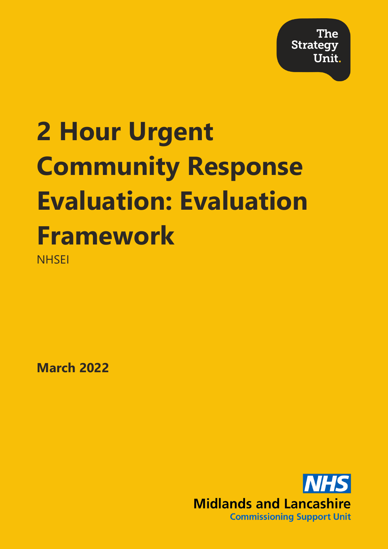**The Strategy** Unit.

## **2 Hour Urgent Community Response Evaluation: Evaluation Framework NHSEI**

**March 2022**

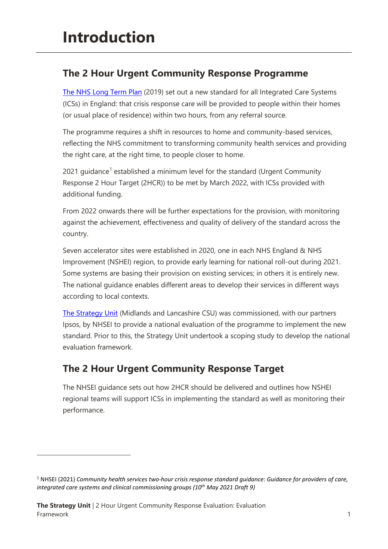## **The 2 Hour Urgent Community Response Programme**

[The NHS Long Term Plan](https://www.longtermplan.nhs.uk/wp-content/uploads/2019/08/nhs-long-term-plan-version-1.2.pdf) (2019) set out a new standard for all Integrated Care Systems (ICSs) in England: that crisis response care will be provided to people within their homes (or usual place of residence) within two hours, from any referral source.

The programme requires a shift in resources to home and community-based services, reflecting the NHS commitment to transforming community health services and providing the right care, at the right time, to people closer to home.

202[1](#page-1-0) guidance<sup>1</sup> established a minimum level for the standard (Urgent Community Response 2 Hour Target (2HCR)) to be met by March 2022, with ICSs provided with additional funding.

From 2022 onwards there will be further expectations for the provision, with monitoring against the achievement, effectiveness and quality of delivery of the standard across the country.

Seven accelerator sites were established in 2020, one in each NHS England & NHS Improvement (NSHEI) region, to provide early learning for national roll-out during 2021. Some systems are basing their provision on existing services; in others it is entirely new. The national guidance enables different areas to develop their services in different ways according to local contexts.

[The Strategy Unit](https://www.strategyunitwm.nhs.uk/) (Midlands and Lancashire CSU) was commissioned, with our partners Ipsos, by NHSEI to provide a national evaluation of the programme to implement the new standard. Prior to this, the Strategy Unit undertook a scoping study to develop the national evaluation framework.

## **The 2 Hour Urgent Community Response Target**

The NHSEI guidance sets out how 2HCR should be delivered and outlines how NSHEI regional teams will support ICSs in implementing the standard as well as monitoring their performance.

<span id="page-1-0"></span><sup>1</sup> NHSEI (2021) *Community health services two-hour crisis response standard guidance: Guidance for providers of care, integrated care systems and clinical commissioning groups (10th May 2021 Draft 9)*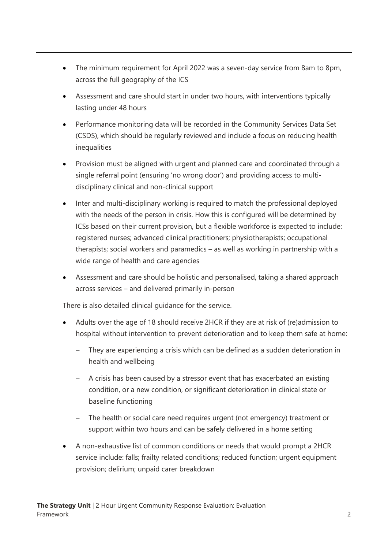- The minimum requirement for April 2022 was a seven-day service from 8am to 8pm, across the full geography of the ICS
- Assessment and care should start in under two hours, with interventions typically lasting under 48 hours
- Performance monitoring data will be recorded in the Community Services Data Set (CSDS), which should be regularly reviewed and include a focus on reducing health inequalities
- Provision must be aligned with urgent and planned care and coordinated through a single referral point (ensuring 'no wrong door') and providing access to multidisciplinary clinical and non-clinical support
- Inter and multi-disciplinary working is required to match the professional deployed with the needs of the person in crisis. How this is configured will be determined by ICSs based on their current provision, but a flexible workforce is expected to include: registered nurses; advanced clinical practitioners; physiotherapists; occupational therapists; social workers and paramedics – as well as working in partnership with a wide range of health and care agencies
- Assessment and care should be holistic and personalised, taking a shared approach across services – and delivered primarily in-person

There is also detailed clinical guidance for the service.

- Adults over the age of 18 should receive 2HCR if they are at risk of (re)admission to hospital without intervention to prevent deterioration and to keep them safe at home:
	- They are experiencing a crisis which can be defined as a sudden deterioration in health and wellbeing
	- − A crisis has been caused by a stressor event that has exacerbated an existing condition, or a new condition, or significant deterioration in clinical state or baseline functioning
	- The health or social care need requires urgent (not emergency) treatment or support within two hours and can be safely delivered in a home setting
- A non-exhaustive list of common conditions or needs that would prompt a 2HCR service include: falls; frailty related conditions; reduced function; urgent equipment provision; delirium; unpaid carer breakdown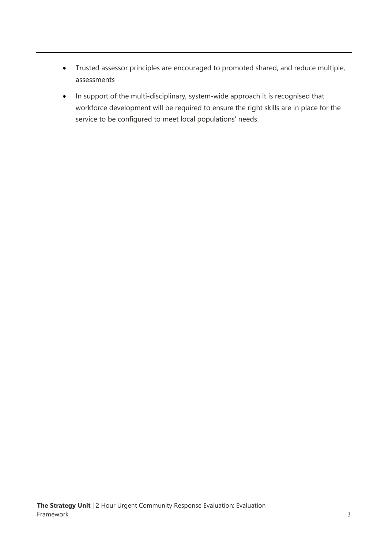- Trusted assessor principles are encouraged to promoted shared, and reduce multiple, assessments
- In support of the multi-disciplinary, system-wide approach it is recognised that workforce development will be required to ensure the right skills are in place for the service to be configured to meet local populations' needs.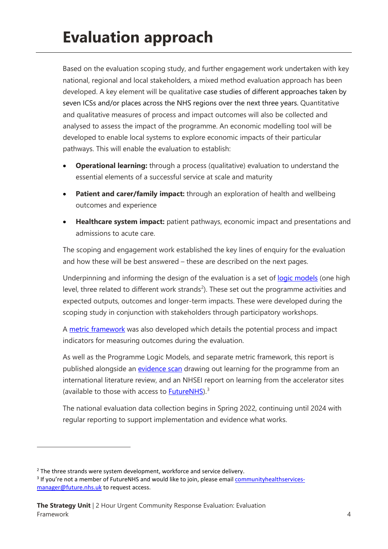Based on the evaluation scoping study, and further engagement work undertaken with key national, regional and local stakeholders, a mixed method evaluation approach has been developed. A key element will be qualitative case studies of different approaches taken by seven ICSs and/or places across the NHS regions over the next three years. Quantitative and qualitative measures of process and impact outcomes will also be collected and analysed to assess the impact of the programme. An economic modelling tool will be developed to enable local systems to explore economic impacts of their particular pathways. This will enable the evaluation to establish:

- **Operational learning:** through a process (qualitative) evaluation to understand the essential elements of a successful service at scale and maturity
- **Patient and carer/family impact:** through an exploration of health and wellbeing outcomes and experience
- **Healthcare system impact:** patient pathways, economic impact and presentations and admissions to acute care.

The scoping and engagement work established the key lines of enquiry for the evaluation and how these will be best answered – these are described on the next pages.

Underpinning and informing the design of the evaluation is a set of [logic models](https://www.strategyunitwm.nhs.uk/sites/default/files/2022-05/2%20Hour%20Urgent%20Community%20Response%20Programme%20Logic%20Models%202022.pdf) (one high level, three related to different work strands<sup>[2](#page-4-0)</sup>). These set out the programme activities and expected outputs, outcomes and longer-term impacts. These were developed during the scoping study in conjunction with stakeholders through participatory workshops.

A [metric framework](https://www.strategyunitwm.nhs.uk/sites/default/files/2022-05/2HCR%20Evaluation%20Metrics%20Framework%202022.xlsx) was also developed which details the potential process and impact indicators for measuring outcomes during the evaluation.

As well as the Programme Logic Models, and separate metric framework, this report is published alongside an [evidence scan](https://www.strategyunitwm.nhs.uk/sites/default/files/2022-05/Urgent%20Community%20Response%20Evidence%20Scan%202022%20%281%29.pdf) drawing out learning for the programme from an international literature review, and an NHSEI report on learning from the accelerator sites (available to those with access to [FutureNHS\)](https://future.nhs.uk/CommunityHealthServices/view?objectID=34865328).[3](#page-4-1)

The national evaluation data collection begins in Spring 2022, continuing until 2024 with regular reporting to support implementation and evidence what works.

<sup>&</sup>lt;sup>2</sup> The three strands were system development, workforce and service delivery.

<span id="page-4-1"></span><span id="page-4-0"></span><sup>&</sup>lt;sup>3</sup> If you're not a member of FutureNHS and would like to join, please email **communityhealthservices**[manager@future.nhs.uk](mailto:communityhealthservices-manager@future.nhs.uk) to request access.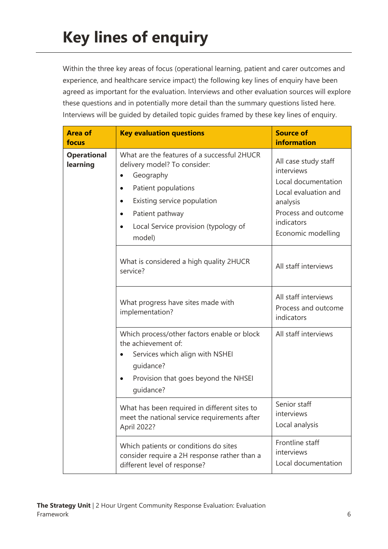Within the three key areas of focus (operational learning, patient and carer outcomes and experience, and healthcare service impact) the following key lines of enquiry have been agreed as important for the evaluation. Interviews and other evaluation sources will explore these questions and in potentially more detail than the summary questions listed here. Interviews will be guided by detailed topic guides framed by these key lines of enquiry.

| <b>Area of</b><br>focus        | <b>Key evaluation questions</b>                                                                                                                                                                                                                         | <b>Source of</b><br><b>information</b>                                                                                                                   |
|--------------------------------|---------------------------------------------------------------------------------------------------------------------------------------------------------------------------------------------------------------------------------------------------------|----------------------------------------------------------------------------------------------------------------------------------------------------------|
| <b>Operational</b><br>learning | What are the features of a successful 2HUCR<br>delivery model? To consider:<br>Geography<br>Patient populations<br>٠<br>Existing service population<br>$\bullet$<br>Patient pathway<br>٠<br>Local Service provision (typology of<br>$\bullet$<br>model) | All case study staff<br>interviews<br>Local documentation<br>Local evaluation and<br>analysis<br>Process and outcome<br>indicators<br>Economic modelling |
|                                | What is considered a high quality 2HUCR<br>service?                                                                                                                                                                                                     | All staff interviews                                                                                                                                     |
|                                | What progress have sites made with<br>implementation?                                                                                                                                                                                                   | All staff interviews<br>Process and outcome<br>indicators                                                                                                |
|                                | Which process/other factors enable or block<br>the achievement of:<br>Services which align with NSHEI<br>quidance?<br>Provision that goes beyond the NHSEI<br>٠<br>quidance?                                                                            | All staff interviews                                                                                                                                     |
|                                | What has been required in different sites to<br>meet the national service requirements after<br>April 2022?                                                                                                                                             | Senior staff<br>interviews<br>Local analysis                                                                                                             |
|                                | Which patients or conditions do sites<br>consider require a 2H response rather than a<br>different level of response?                                                                                                                                   | Frontline staff<br>interviews<br>Local documentation                                                                                                     |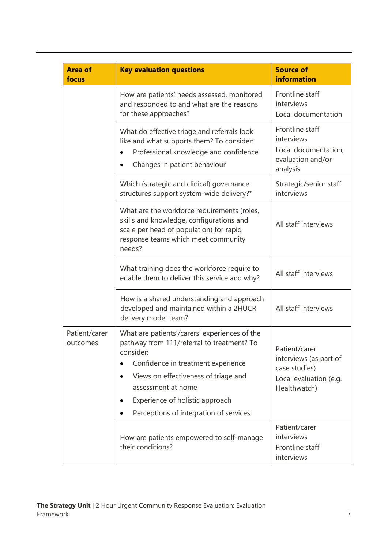| <b>Area of</b><br>focus   | <b>Key evaluation questions</b>                                                                                                                                                                                                                                                           | <b>Source of</b><br><b>information</b>                                                             |
|---------------------------|-------------------------------------------------------------------------------------------------------------------------------------------------------------------------------------------------------------------------------------------------------------------------------------------|----------------------------------------------------------------------------------------------------|
|                           | How are patients' needs assessed, monitored<br>and responded to and what are the reasons<br>for these approaches?                                                                                                                                                                         | Frontline staff<br>interviews<br>Local documentation                                               |
|                           | What do effective triage and referrals look<br>like and what supports them? To consider:<br>Professional knowledge and confidence<br>Changes in patient behaviour                                                                                                                         | Frontline staff<br>interviews<br>Local documentation,<br>evaluation and/or<br>analysis             |
|                           | Which (strategic and clinical) governance<br>structures support system-wide delivery?*                                                                                                                                                                                                    | Strategic/senior staff<br>interviews                                                               |
|                           | What are the workforce requirements (roles,<br>skills and knowledge, configurations and<br>scale per head of population) for rapid<br>response teams which meet community<br>needs?                                                                                                       | All staff interviews                                                                               |
|                           | What training does the workforce require to<br>enable them to deliver this service and why?                                                                                                                                                                                               | All staff interviews                                                                               |
|                           | How is a shared understanding and approach<br>developed and maintained within a 2HUCR<br>delivery model team?                                                                                                                                                                             | All staff interviews                                                                               |
| Patient/carer<br>outcomes | What are patients'/carers' experiences of the<br>pathway from 111/referral to treatment? To<br>consider:<br>Confidence in treatment experience<br>Views on effectiveness of triage and<br>assessment at home<br>Experience of holistic approach<br>Perceptions of integration of services | Patient/carer<br>interviews (as part of<br>case studies)<br>Local evaluation (e.g.<br>Healthwatch) |
|                           | How are patients empowered to self-manage<br>their conditions?                                                                                                                                                                                                                            | Patient/carer<br>interviews<br>Frontline staff<br>interviews                                       |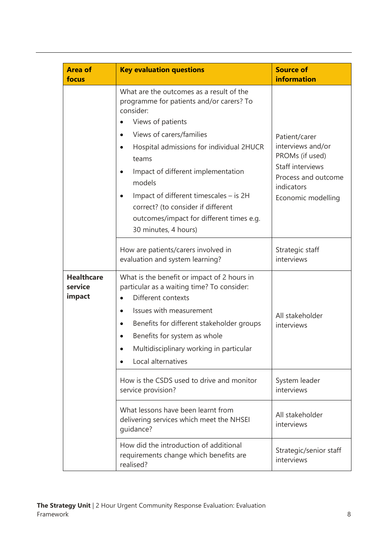| <b>Area of</b><br>focus                | <b>Key evaluation questions</b>                                                                                                                                                                                                                                                                                                                                                                                          | <b>Source of</b><br><b>information</b>                                                                                               |
|----------------------------------------|--------------------------------------------------------------------------------------------------------------------------------------------------------------------------------------------------------------------------------------------------------------------------------------------------------------------------------------------------------------------------------------------------------------------------|--------------------------------------------------------------------------------------------------------------------------------------|
|                                        | What are the outcomes as a result of the<br>programme for patients and/or carers? To<br>consider:<br>Views of patients<br>Views of carers/families<br>Hospital admissions for individual 2HUCR<br>teams<br>Impact of different implementation<br>$\bullet$<br>models<br>Impact of different timescales – is 2H<br>correct? (to consider if different<br>outcomes/impact for different times e.g.<br>30 minutes, 4 hours) | Patient/carer<br>interviews and/or<br>PROMs (if used)<br>Staff interviews<br>Process and outcome<br>indicators<br>Economic modelling |
|                                        | How are patients/carers involved in<br>evaluation and system learning?                                                                                                                                                                                                                                                                                                                                                   | Strategic staff<br>interviews                                                                                                        |
| <b>Healthcare</b><br>service<br>impact | What is the benefit or impact of 2 hours in<br>particular as a waiting time? To consider:<br>Different contexts<br>Issues with measurement<br>Benefits for different stakeholder groups<br>Benefits for system as whole<br>Multidisciplinary working in particular<br>Local alternatives                                                                                                                                 | All stakeholder<br>interviews                                                                                                        |
|                                        | How is the CSDS used to drive and monitor<br>service provision?                                                                                                                                                                                                                                                                                                                                                          | System leader<br>interviews                                                                                                          |
|                                        | What lessons have been learnt from<br>delivering services which meet the NHSEI<br>guidance?                                                                                                                                                                                                                                                                                                                              | All stakeholder<br>interviews                                                                                                        |
|                                        | How did the introduction of additional<br>requirements change which benefits are<br>realised?                                                                                                                                                                                                                                                                                                                            | Strategic/senior staff<br>interviews                                                                                                 |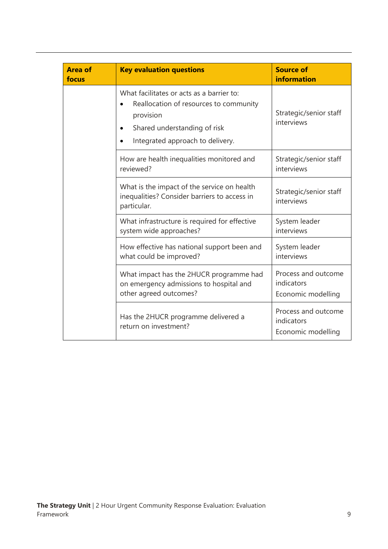| <b>Area of</b><br>focus | <b>Key evaluation questions</b>                                                                                                                                      | <b>Source of</b><br><b>information</b>                  |
|-------------------------|----------------------------------------------------------------------------------------------------------------------------------------------------------------------|---------------------------------------------------------|
|                         | What facilitates or acts as a barrier to:<br>Reallocation of resources to community<br>provision<br>Shared understanding of risk<br>Integrated approach to delivery. | Strategic/senior staff<br>interviews                    |
|                         | How are health inequalities monitored and<br>reviewed?                                                                                                               | Strategic/senior staff<br>interviews                    |
|                         | What is the impact of the service on health<br>inequalities? Consider barriers to access in<br>particular.                                                           | Strategic/senior staff<br>interviews                    |
|                         | What infrastructure is required for effective<br>system wide approaches?                                                                                             | System leader<br>interviews                             |
|                         | How effective has national support been and<br>what could be improved?                                                                                               | System leader<br>interviews                             |
|                         | What impact has the 2HUCR programme had<br>on emergency admissions to hospital and<br>other agreed outcomes?                                                         | Process and outcome<br>indicators<br>Economic modelling |
|                         | Has the 2HUCR programme delivered a<br>return on investment?                                                                                                         | Process and outcome<br>indicators<br>Economic modelling |